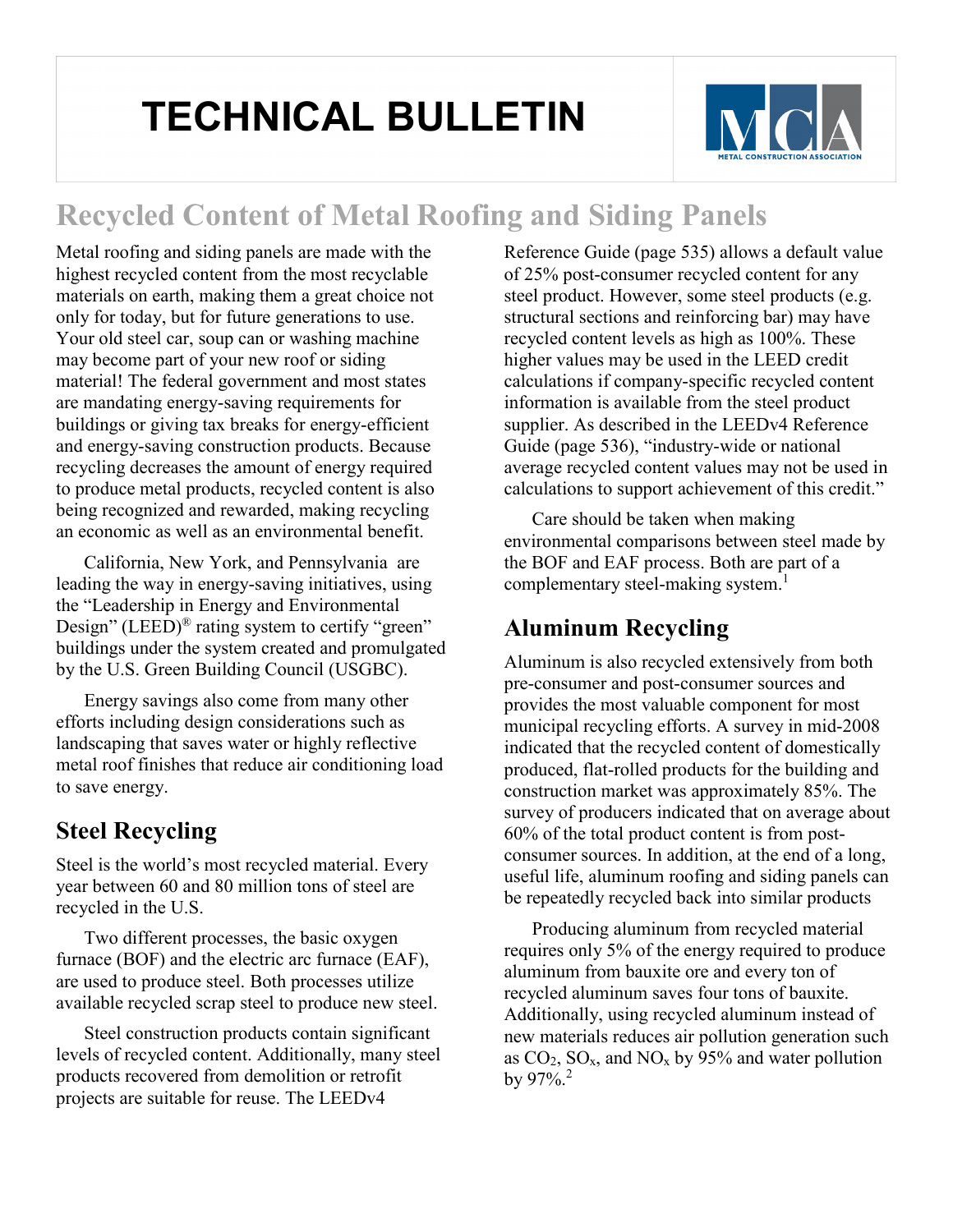# **TECHNICAL BULLETIN**



## **Recycled Content of Metal Roofing and Siding Panels**

Metal roofing and siding panels are made with the highest recycled content from the most recyclable materials on earth, making them a great choice not only for today, but for future generations to use. Your old steel car, soup can or washing machine may become part of your new roof or siding material! The federal government and most states are mandating energy-saving requirements for buildings or giving tax breaks for energy-efficient and energy-saving construction products. Because recycling decreases the amount of energy required to produce metal products, recycled content is also being recognized and rewarded, making recycling an economic as well as an environmental benefit.

California, New York, and Pennsylvania are leading the way in energy-saving initiatives, using the "Leadership in Energy and Environmental Design" (LEED)<sup>®</sup> rating system to certify "green" buildings under the system created and promulgated by the U.S. Green Building Council (USGBC).

Energy savings also come from many other efforts including design considerations such as landscaping that saves water or highly reflective metal roof finishes that reduce air conditioning load to save energy.

#### **Steel Recycling**

Steel is the world's most recycled material. Every year between 60 and 80 million tons of steel are recycled in the U.S.

Two different processes, the basic oxygen furnace (BOF) and the electric arc furnace (EAF), are used to produce steel. Both processes utilize available recycled scrap steel to produce new steel.

Steel construction products contain significant levels of recycled content. Additionally, many steel products recovered from demolition or retrofit projects are suitable for reuse. The LEEDv4

Reference Guide (page 535) allows a default value of 25% post-consumer recycled content for any steel product. However, some steel products (e.g. structural sections and reinforcing bar) may have recycled content levels as high as 100%. These higher values may be used in the LEED credit calculations if company-specific recycled content information is available from the steel product supplier. As described in the LEEDv4 Reference Guide (page 536), "industry-wide or national average recycled content values may not be used in calculations to support achievement of this credit."

Care should be taken when making environmental comparisons between steel made by the BOF and EAF process. Both are part of a complementary steel-making system.<sup>1</sup>

## **Aluminum Recycling**

Aluminum is also recycled extensively from both pre-consumer and post-consumer sources and provides the most valuable component for most municipal recycling efforts. A survey in mid-2008 indicated that the recycled content of domestically produced, flat-rolled products for the building and construction market was approximately 85%. The survey of producers indicated that on average about 60% of the total product content is from postconsumer sources. In addition, at the end of a long, useful life, aluminum roofing and siding panels can be repeatedly recycled back into similar products

Producing aluminum from recycled material requires only 5% of the energy required to produce aluminum from bauxite ore and every ton of recycled aluminum saves four tons of bauxite. Additionally, using recycled aluminum instead of new materials reduces air pollution generation such as  $CO_2$ ,  $SO_x$ , and  $NO_x$  by 95% and water pollution by 97%.2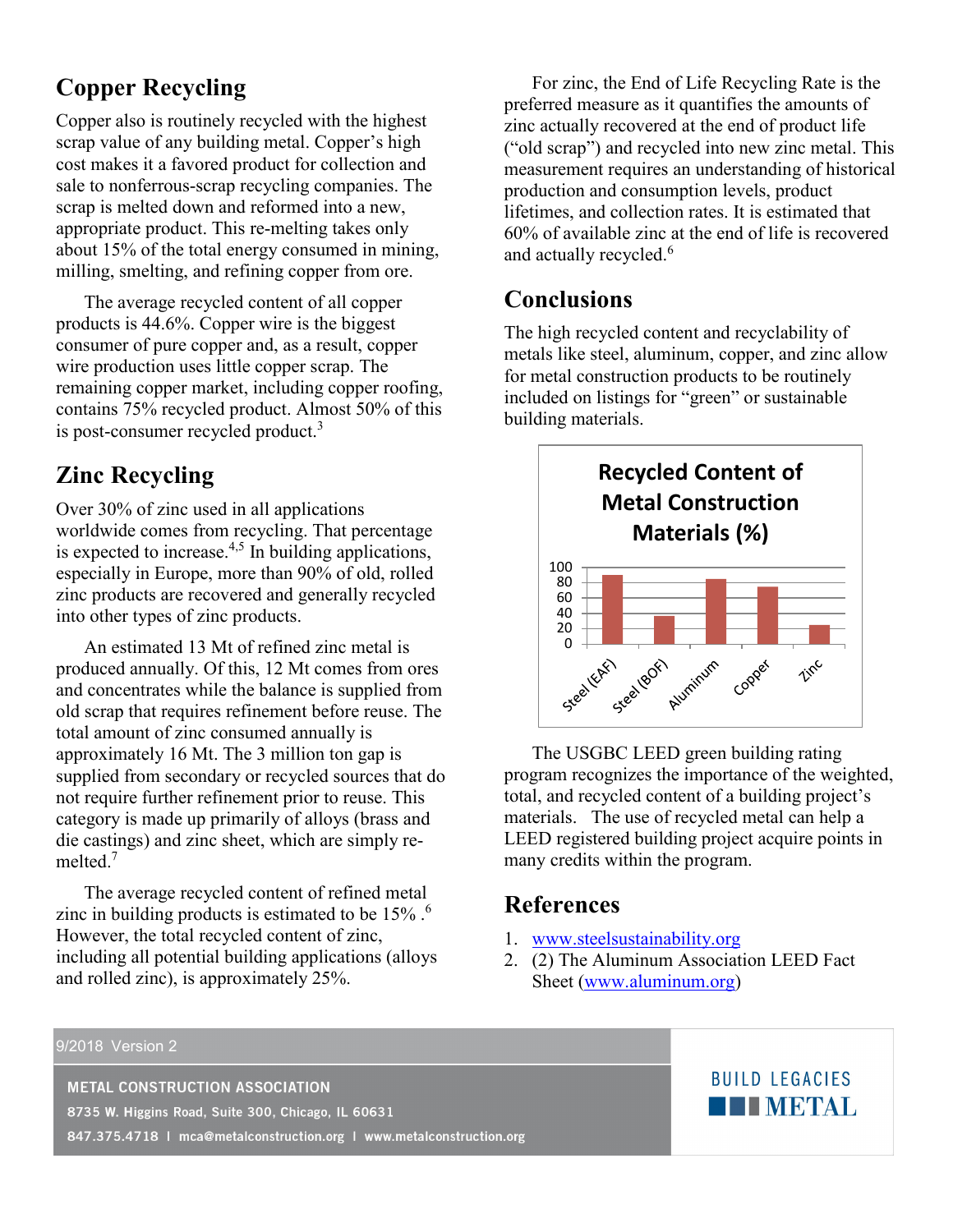## **Copper Recycling**

Copper also is routinely recycled with the highest scrap value of any building metal. Copper's high cost makes it a favored product for collection and sale to nonferrous-scrap recycling companies. The scrap is melted down and reformed into a new, appropriate product. This re-melting takes only about 15% of the total energy consumed in mining, milling, smelting, and refining copper from ore.

The average recycled content of all copper products is 44.6%. Copper wire is the biggest consumer of pure copper and, as a result, copper wire production uses little copper scrap. The remaining copper market, including copper roofing, contains 75% recycled product. Almost 50% of this is post-consumer recycled product.<sup>3</sup>

### **Zinc Recycling**

Over 30% of zinc used in all applications worldwide comes from recycling. That percentage is expected to increase.<sup>4,5</sup> In building applications, especially in Europe, more than 90% of old, rolled zinc products are recovered and generally recycled into other types of zinc products.

An estimated 13 Mt of refined zinc metal is produced annually. Of this, 12 Mt comes from ores and concentrates while the balance is supplied from old scrap that requires refinement before reuse. The total amount of zinc consumed annually is approximately 16 Mt. The 3 million ton gap is supplied from secondary or recycled sources that do not require further refinement prior to reuse. This category is made up primarily of alloys (brass and die castings) and zinc sheet, which are simply remelted<sup>7</sup>

The average recycled content of refined metal zinc in building products is estimated to be 15% .<sup>6</sup> However, the total recycled content of zinc, including all potential building applications (alloys and rolled zinc), is approximately 25%.

For zinc, the End of Life Recycling Rate is the preferred measure as it quantifies the amounts of zinc actually recovered at the end of product life ("old scrap") and recycled into new zinc metal. This measurement requires an understanding of historical production and consumption levels, product lifetimes, and collection rates. It is estimated that 60% of available zinc at the end of life is recovered and actually recycled.<sup>6</sup>

#### **Conclusions**

The high recycled content and recyclability of metals like steel, aluminum, copper, and zinc allow for metal construction products to be routinely included on listings for "green" or sustainable building materials.



The USGBC LEED green building rating program recognizes the importance of the weighted, total, and recycled content of a building project's materials. The use of recycled metal can help a LEED registered building project acquire points in many credits within the program.

#### **References**

- 1. [www.steelsustainability.org](http://www.steelsustainability.org/)
- 2. (2) The Aluminum Association LEED Fact Sheet [\(www.aluminum.org\)](http://www.aluminum.org/)

#### 9/2018 Version 2

**METAL CONSTRUCTION ASSOCIATION** 

8735 W. Higgins Road, Suite 300, Chicago, IL 60631

847.375.4718 | mca@metalconstruction.org | www.metalconstruction.org

#### **BUILD LEGACIES THE METAL**